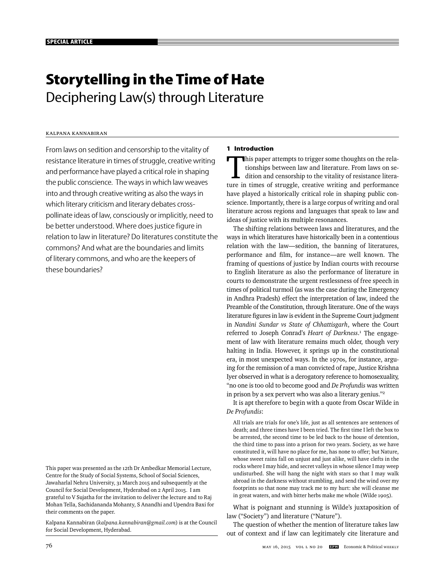# **Storytelling in the Time of Hate**  Deciphering Law(s) through Literature

# Kalpana Kannabiran

From laws on sedition and censorship to the vitality of resistance literature in times of struggle, creative writing and performance have played a critical role in shaping the public conscience. The ways in which law weaves into and through creative writing as also the ways in which literary criticism and literary debates crosspollinate ideas of law, consciously or implicitly, need to be better understood. Where does justice figure in relation to law in literature? Do literatures constitute the commons? And what are the boundaries and limits of literary commons, and who are the keepers of these boundaries?

This paper was presented as the 12th Dr Ambedkar Memorial Lecture, Centre for the Study of Social Systems, School of Social Sciences, Jawaharlal Nehru University, 31 March 2015 and subsequently at the Council for Social Development, Hyderabad on 2 April 2015. I am grateful to V Sujatha for the invitation to deliver the lecture and to Raj Mohan Tella, Sachidananda Mohanty, S Anandhi and Upendra Baxi for their comments on the paper.

Kalpana Kannabiran (*kalpana.kannabiran@gmail.com*) is at the Council for Social Development, Hyderabad.

# **1 Introduction**

This paper attempts to trigger some thoughts on the rela-<br>tionships between law and literature. From laws on se-<br>dition and censorship to the vitality of resistance litera-<br>ture in times of struggle, creative writing and p tionships between law and literature. From laws on sedition and censorship to the vitality of resistance literature in times of struggle, creative writing and performance have played a historically critical role in shaping public conscience. Importantly, there is a large corpus of writing and oral literature across regions and languages that speak to law and ideas of justice with its multiple resonances.

The shifting relations between laws and literatures, and the ways in which literatures have historically been in a contentious relation with the law—sedition, the banning of literatures, performance and film, for instance—are well known. The framing of questions of justice by Indian courts with recourse to English literature as also the performance of literature in courts to demonstrate the urgent restlessness of free speech in times of political turmoil (as was the case during the Emergency in Andhra Pradesh) effect the interpretation of law, indeed the Preamble of the Constitution, through literature. One of the ways literature figures in law is evident in the Supreme Court judgment in *Nandini Sundar vs State of Chhattisgarh*, where the Court referred to Joseph Conrad's *Heart of Darkness*. 1 The engagement of law with literature remains much older, though very halting in India. However, it springs up in the constitutional era, in most unexpected ways. In the 1970s, for instance, arguing for the remission of a man convicted of rape, Justice Krishna Iyer observed in what is a derogatory reference to homosexuality, "no one is too old to become good and *De Profundis* was written in prison by a sex pervert who was also a literary genius."2

It is apt therefore to begin with a quote from Oscar Wilde in *De Profundis*:

All trials are trials for one's life, just as all sentences are sentences of death; and three times have I been tried. The first time I left the box to be arrested, the second time to be led back to the house of detention, the third time to pass into a prison for two years. Society, as we have constituted it, will have no place for me, has none to offer; but Nature, whose sweet rains fall on unjust and just alike, will have clefts in the rocks where I may hide, and secret valleys in whose silence I may weep undisturbed. She will hang the night with stars so that I may walk abroad in the darkness without stumbling, and send the wind over my footprints so that none may track me to my hurt: she will cleanse me in great waters, and with bitter herbs make me whole (Wilde 1905).

What is poignant and stunning is Wilde's juxtaposition of law ("Society") and literature ("Nature").

The question of whether the mention of literature takes law out of context and if law can legitimately cite literature and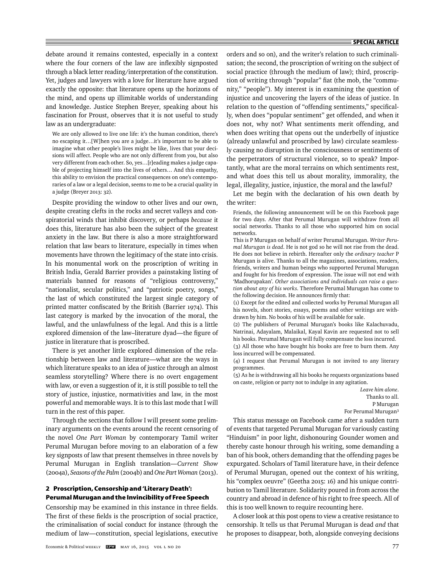debate around it remains contested, especially in a context where the four corners of the law are inflexibly signposted through a black letter reading/interpretation of the constitution. Yet, judges and lawyers with a love for literature have argued exactly the opposite: that literature opens up the horizons of the mind, and opens up illimitable worlds of understanding and knowledge. Justice Stephen Breyer, speaking about his fascination for Proust, observes that it is not useful to study law as an undergraduate:

We are only allowed to live one life: it's the human condition, there's no escaping it…[W]hen you are a judge…it's important to be able to imagine what other people's lives might be like, lives that your decisions will affect. People who are not only different from you, but also very different from each other. So, yes…[r]eading makes a judge capable of projecting himself into the lives of others… And this empathy, this ability to envision the practical consequences on one's contemporaries of a law or a legal decision, seems to me to be a crucial quality in a judge (Breyer 2013: 32).

Despite providing the window to other lives and our own, despite creating clefts in the rocks and secret valleys and conspiratorial winds that inhibit discovery, or perhaps *because* it does this, literature has also been the subject of the greatest anxiety in the law. But there is also a more straightforward relation that law bears to literature, especially in times when movements have thrown the legitimacy of the state into crisis. In his monumental work on the proscription of writing in British India, Gerald Barrier provides a painstaking listing of materials banned for reasons of "religious controversy," "nationalist, secular politics," and "patriotic poetry, songs," the last of which constituted the largest single category of printed matter confiscated by the British (Barrier 1974). This last category is marked by the invocation of the moral, the lawful, and the unlawfulness of the legal. And this is a little explored dimension of the law-literature dyad—the figure of justice in literature that is proscribed.

There is yet another little explored dimension of the relationship between law and literature—what are the ways in which literature speaks to an idea of justice through an almost seamless storytelling? Where there is no overt engagement with law, or even a suggestion of it, it is still possible to tell the story of justice, injustice, normativities and law, in the most powerful and memorable ways. It is to this last mode that I will turn in the rest of this paper.

Through the sections that follow I will present some preliminary arguments on the events around the recent censoring of the novel *One Part Woman* by contemporary Tamil writer Perumal Murugan before moving to an elaboration of a few key signposts of law that present themselves in three novels by Perumal Murugan in English translation—*Current Show* (2004a), *Seasons of the Palm* (2004b) and *One Part Woman* (2013).

# **2 Proscription, Censorship and 'Literary Death': Perumal Murugan and the Invincibility of Free Speech**

Censorship may be examined in this instance in three fields. The first of these fields is the proscription of social practice, the criminalisation of social conduct for instance (through the medium of law—constitution, special legislations, executive

orders and so on), and the writer's relation to such criminalisation; the second, the proscription of writing on the subject of social practice (through the medium of law); third, proscription of writing through "popular" fiat (the mob, the "community," "people"). My interest is in examining the question of injustice and uncovering the layers of the ideas of justice. In relation to the question of "offending sentiments," specifically, when does "popular sentiment" get offended, and when it does not, why not? What sentiments merit offending, and when does writing that opens out the underbelly of injustice (already unlawful and proscribed by law) circulate seamlessly causing no disruption in the consciousness or sentiments of the perpetrators of structural violence, so to speak? Importantly, what are the moral terrains on which sentiments rest, and what does this tell us about morality, immorality, the legal, illegality, justice, injustice, the moral and the lawful?

Let me begin with the declaration of his own death by the writer:

Friends, the following announcement will be on this Facebook page for two days. After that Perumal Murugan will withdraw from all social networks. Thanks to all those who supported him on social networks.

This is P Murugan on behalf of writer Perumal Murugan. *Writer Perumal Murugan is dead*. He is not god so he will not rise from the dead. He does not believe in rebirth. Hereafter only the *ordinary teacher* P Murugan is alive. Thanks to all the magazines, associations, readers, friends, writers and human beings who supported Perumal Murugan and fought for his freedom of expression. The issue will not end with 'Madhorupakan'. *Other associations and individuals can raise a question about any of his works*. Therefore Perumal Murugan has come to the following decision. He announces firmly that:

(1) Except for the edited and collected works by Perumal Murugan all his novels, short stories, essays, poems and other writings are withdrawn by him. No books of his will be available for sale.

(2) The publishers of Perumal Murugan's books like Kalachuvadu, Natrinai, Adayalam, Malaikal, Kayal Kavin are requested not to sell his books. Perumal Murugan will fully compensate the loss incurred.

(3) All those who have bought his books are free to burn them. Any loss incurred will be compensated.

(4) I request that Perumal Murugan is not invited to any literary programmes.

(5) As he is withdrawing all his books he requests organizations based on caste, religion or party not to indulge in any agitation.

> *Leave him alone*. Thanks to all. P Murugan For Perumal Murugan3

This status message on Facebook came after a sudden turn of events that targeted Perumal Murugan for variously casting "Hinduism" in poor light, dishonouring Gounder women and thereby caste honour through his writing, some demanding a ban of his book, others demanding that the offending pages be expurgated. Scholars of Tamil literature have, in their defence of Perumal Murugan, opened out the context of his writing, his "complex oeuvre" (Geetha 2015: 16) and his unique contribution to Tamil literature. Solidarity poured in from across the country and abroad in defence of his right to free speech. All of this is too well known to require recounting here.

A closer look at this post opens to view a creative resistance to censorship. It tells us that Perumal Murugan is dead *and* that he proposes to disappear, both, alongside conveying decisions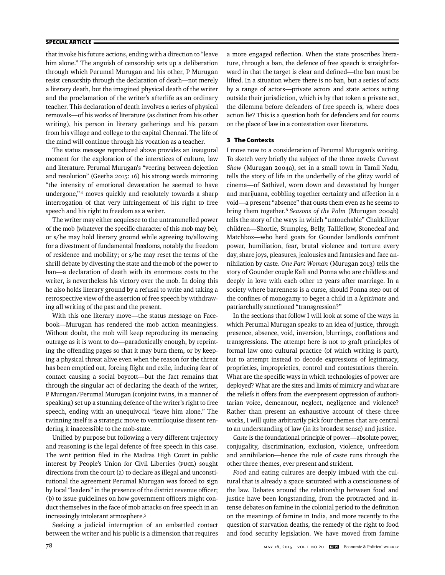that invoke his future actions, ending with a direction to "leave him alone." The anguish of censorship sets up a deliberation through which Perumal Murugan and his other, P Murugan resist censorship through the declaration of death—not merely a literary death, but the imagined physical death of the writer and the proclamation of the writer's afterlife as an ordinary teacher. This declaration of death involves a series of physical removals—of his works of literature (as distinct from his other writing), his person in literary gatherings and his person from his village and college to the capital Chennai. The life of the mind will continue through his vocation as a teacher.

The status message reproduced above provides an inaugural moment for the exploration of the interstices of culture, law and literature. Perumal Murugan's "veering between dejection and resolution" (Geetha 2015: 16) his strong words mirroring "the intensity of emotional devastation he seemed to have undergone,"<sup>4</sup> moves quickly and resolutely towards a sharp interrogation of that very infringement of his right to free speech and his right to freedom as a writer.

The writer may either acquiesce to the untrammelled power of the mob (whatever the specific character of this mob may be); or s/he may hold literary ground while agreeing to/allowing for a divestment of fundamental freedoms, notably the freedom of residence and mobility; or s/he may reset the terms of the shrill debate by divesting the state and the mob of the power to ban—a declaration of death with its enormous costs to the writer, is nevertheless his victory over the mob. In doing this he also holds literary ground by a refusal to write and taking a retrospective view of the assertion of free speech by withdrawing all writing of the past and the present.

With this one literary move—the status message on Facebook—Murugan has rendered the mob action meaningless. Without doubt, the mob will keep reproducing its menacing outrage as it is wont to do—paradoxically enough, by reprinting the offending pages so that it may burn them, or by keeping a physical threat alive even when the reason for the threat has been emptied out, forcing flight and exile, inducing fear of contact causing a social boycott—but the fact remains that through the singular act of declaring the death of the writer, P Murugan/Perumal Murugan (conjoint twins, in a manner of speaking) set up a stunning defence of the writer's right to free speech, ending with an unequivocal "leave him alone." The twinning itself is a strategic move to ventriloquise dissent rendering it inaccessible to the mob-state.

Unified by purpose but following a very different trajectory and reasoning is the legal defence of free speech in this case. The writ petition filed in the Madras High Court in public interest by People's Union for Civil Liberties (PUCL) sought directions from the court (a) to declare as illegal and unconstitutional the agreement Perumal Murugan was forced to sign by local "leaders" in the presence of the district revenue officer; (b) to issue guidelines on how government officers might conduct themselves in the face of mob attacks on free speech in an increasingly intolerant atmosphere.5

Seeking a judicial interruption of an embattled contact bet ween the writer and his public is a dimension that requires

a more engaged reflection. When the state proscribes literature, through a ban, the defence of free speech is straightforward in that the target is clear and defined—the ban must be lifted. In a situation where there is no ban, but a series of acts by a range of actors—private actors and state actors acting outside their jurisdiction, which is by that token a private act, the dilemma before defenders of free speech is, where does action lie? This is a question both for defenders and for courts on the place of law in a contestation over literature.

## **3 The Contexts**

I move now to a consideration of Perumal Murugan's writing. To sketch very briefly the subject of the three novels: *Current Show* (Murugan 2004a), set in a small town in Tamil Nadu, tells the story of life in the underbelly of the glitzy world of cinema—of Sathivel, worn down and devastated by hunger and marijuana, cobbling together certainty and affection in a void—a present "absence" that ousts them even as he seems to bring them together.6 *Seasons of the Palm* (Murugan 2004b) tells the story of the ways in which "untouchable" Chakkiliyar children—Shortie, Stumpleg, Belly, Tallfellow, Stonedeaf and Matchbox—who herd goats for Gounder landlords confront power, humiliation, fear, brutal violence and torture every day, share joys, pleasures, jealousies and fantasies and face annihilation by caste. *One Part Woman* (Murugan 2013) tells the story of Gounder couple Kali and Ponna who are childless and deeply in love with each other 12 years after marriage. In a society where barrenness is a curse, should Ponna step out of the confines of monogamy to beget a child in a *legitimate* and patriarchally sanctioned "transgression?"

In the sections that follow I will look at some of the ways in which Perumal Murugan speaks to an idea of justice, through presence, absence, void, inversion, blurrings, conflations and transgressions. The attempt here is not to graft principles of formal law onto cultural practice (of which writing is part), but to attempt instead to decode expressions of legitimacy, proprieties, improprieties, control and contestations therein. What are the specific ways in which technologies of power are deployed? What are the sites and limits of mimicry and what are the reliefs it offers from the ever-present oppression of authoritarian voice, demeanour, neglect, negligence and violence? Rather than present an exhaustive account of these three works, I will quite arbitrarily pick four themes that are central to an understanding of law (in its broadest sense) and justice.

*Caste* is the foundational principle of power—absolute power, conjugality, discrimination, exclusion, violence, unfreedom and annihilation—hence the rule of caste runs through the other three themes, ever present and strident.

*Food* and eating cultures are deeply imbued with the cultural that is already a space saturated with a consciousness of the law. Debates around the relationship between food and justice have been longstanding, from the protracted and intense debates on famine in the colonial period to the definition on the meanings of famine in India, and more recently to the question of starvation deaths, the remedy of the right to food and food security legislation. We have moved from famine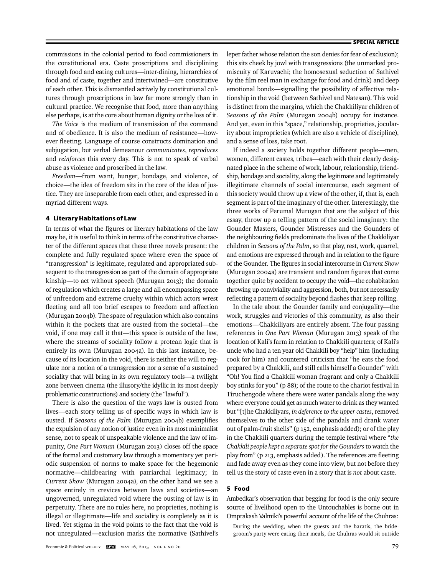commissions in the colonial period to food commissioners in the constitutional era. Caste proscriptions and disciplining through food and eating cultures—inter-dining, hierarchies of food and of caste, together and intertwined—are constitutive of each other. This is dismantled actively by constitutional cultures through proscriptions in law far more strongly than in cultural practice. We recognise that food, more than anything else perhaps, is at the core about human dignity or the loss of it.

*The Voice* is the medium of transmission of the command and of obedience. It is also the medium of resistance—however fleeting. Language of course constructs domination and subjugation, but verbal demeanour *communicates*, *reproduces* and *reinforces* this every day. This is not to speak of verbal abuse as violence and proscribed in the law.

*Freedom*—from want, hunger, bondage, and violence, of choice—the idea of freedom sits in the core of the idea of justice. They are inseparable from each other, and expressed in a myriad different ways.

## **4 Literary Habitations of Law**

In terms of what the figures or literary habitations of the law may be, it is useful to think in terms of the constitutive character of the different spaces that these three novels present: the complete and fully regulated space where even the space of "transgression" is legitimate, regulated and appropriated subsequent to the transgression as part of the domain of appropriate kinship—to act without speech (Murugan 2013); the domain of regulation which creates a large and all encompassing space of unfreedom and extreme cruelty within which actors wrest fleeting and all too brief escapes to freedom and affection (Murugan 2004b). The space of regulation which also contains within it the pockets that are ousted from the societal—the void, if one may call it that—this space is outside of the law, where the streams of sociality follow a protean logic that is entirely its own (Murugan 2004a). In this last instance, because of its location in the void, there is neither the will to regulate nor a notion of a transgression nor a sense of a sustained sociality that will bring in its own regulatory tools—a twilight zone between cinema (the illusory/the idyllic in its most deeply problematic constructions) and society (the "lawful").

There is also the question of the ways law is ousted from lives—each story telling us of specific ways in which law is ousted. If *Seasons of the Palm* (Murugan 2004b) exemplifies the expulsion of any notion of justice even in its most minimalist sense, not to speak of unspeakable violence and the law of impunity, *One Part Woman* (Murugan 2013) closes off the space of the formal and customary law through a momentary yet periodic suspension of norms to make space for the hegemonic normative—childbearing with patriarchal legitimacy; in *Current Show* (Murugan 2004a), on the other hand we see a space entirely in crevices between laws and societies—an ungoverned, unregulated void where the ousting of law is in perpetuity. There are no rules here, no proprieties, nothing is illegal or illegitimate—life and sociality is completely as it is lived. Yet stigma in the void points to the fact that the void is not unregulated—exclusion marks the normative (Sathivel's

leper father whose relation the son denies for fear of exclusion); this sits cheek by jowl with transgressions (the unmarked promiscuity of Karuvachi; the homosexual seduction of Sathivel by the film reel man in exchange for food and drink) and deep emotional bonds—signalling the possibility of affective relationship in the void (between Sathivel and Natesan). This void is distinct from the margins, which the Chakkiliyar children of *Seasons of the Palm* (Murugan 2004b) occupy for instance. And yet, even in this "space," relationship, proprieties, jocularity about improprieties (which are also a vehicle of discipline), and a sense of loss, take root.

If indeed a society holds together different people—men, women, different castes, tribes—each with their clearly designated place in the scheme of work, labour, relationship, friendship, bondage and sociality, along the legitimate and legitimately illegitimate channels of social intercourse, each segment of this society would throw up a view of the other, if, that is, each segment is part of the imaginary of the other. Interestingly, the three works of Perumal Murugan that are the subject of this essay, throw up a telling pattern of the social imaginary: the Gounder Masters, Gounder Mistresses and the Gounders of the neighbouring fields predominate the lives of the Chakkiliyar children in *Seasons of the Palm*, so that play, rest, work, quarrel, and emotions are expressed through and in relation to the figure of the Gounder. The figures in social intercourse in *Current Show* (Murugan 2004a) are transient and random figures that come together quite by accident to occupy the void—the cohabitation throwing up conviviality and aggression, both, but not necessarily reflecting a pattern of sociality beyond flashes that keep rolling.

In the tale about the Gounder family and conjugality—the work, struggles and victories of this community, as also their emotions—Chakkiliyars are entirely absent. The four passing references in *One Part Woman* (Murugan 2013) speak of the location of Kali's farm in relation to Chakkili quarters; of Kali's uncle who had a ten year old Chakkili boy "help" him (including cook for him) and countered criticism that "he eats the food prepared by a Chakkili, and still calls himself a Gounder" with "Oh! You find a Chakkili woman fragrant and only a Chakkili boy stinks for you" (p 88); of the route to the chariot festival in Tiruchengode where there were water pandals along the way where everyone could get as much water to drink as they wanted but "[t]he Chakkiliyars, *in deference to the upper castes*, removed themselves to the other side of the pandals and drank water out of palm-fruit shells" (p 152, emphasis added); or of the play in the Chakkili quarters during the temple festival where "*the Chakkili people kept a separate spot for the Gounders* to watch the play from" (p 213, emphasis added). The references are fleeting and fade away even as they come into view, but not before they tell us the story of caste even in a story that is *not* about caste.

## **5 Food**

Ambedkar's observation that begging for food is the only secure source of livelihood open to the Untouchables is borne out in Omprakash Valmiki's powerful account of the life of the Chuhras:

During the wedding, when the guests and the baratis, the bridegroom's party were eating their meals, the Chuhras would sit outside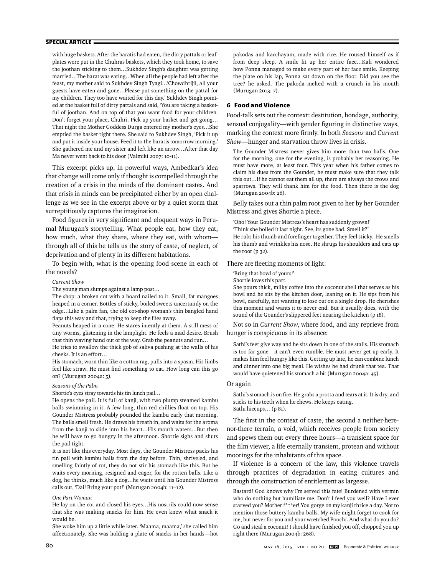with huge baskets. After the baratis had eaten, the dirty pattals or leafplates were put in the Chuhras baskets, which they took home, to save the joothan sticking to them…Sukhdev Singh's daughter was getting married…The barat was eating…When all the people had left after the feast, my mother said to Sukhdev Singh Tyagi…'Chowdhrijii, all your guests have eaten and gone…Please put something on the pattal for my children. They too have waited for this day.' Sukhdev Singh pointed at the basket full of dirty pattals and said, 'You are taking a basketful of joothan. And on top of that you want food for your children. Don't forget your place, Chuhri. Pick up your basket and get going… That night the Mother Goddess Durga entered my mother's eyes…She emptied the basket right there. She said to Sukhdev Singh, 'Pick it up and put it inside your house. Feed it to the baratis tomorrow morning.' She gathered me and my sister and left like an arrow…After that day Ma never went back to his door (Valmiki 2007: 10-11).

This excerpt picks up, in powerful ways, Ambedkar's idea that change will come only if thought is compelled through the creation of a crisis in the minds of the dominant castes. And that crisis in minds can be precipitated either by an open challenge as we see in the excerpt above or by a quiet storm that surreptitiously captures the imagination.

Food figures in very significant and eloquent ways in Perumal Murugan's storytelling. What people eat, how they eat, how much, what they share, where they eat, with whom through all of this he tells us the story of caste, of neglect, of deprivation and of plenty in its different habitations.

To begin with, what is the opening food scene in each of the novels?

#### *Current Show*

The young man slumps against a lamp post…

The shop: a broken cot with a board nailed to it. Small, fat mangoes heaped in a corner. Bottles of sticky, boiled sweets uncertainly on the edge…Like a palm fan, the old cot-shop woman's thin bangled hand flaps this way and that, trying to keep the flies away.

Peanuts heaped in a cone. He stares intently at them. A still mess of tiny worms, glistening in the lamplight. He feels a mad desire. Brush that thin waving hand out of the way. Grab the peanuts and run…

He tries to swallow the thick gob of saliva pushing at the walls of his cheeks. It is an effort…

His stomach, worn thin like a cotton rag, pulls into a spasm. His limbs feel like straw. He must find something to eat. How long can this go on? (Murugan 2004a: 5).

#### *Seasons of the Palm*

Shortie's eyes stray towards his tin lunch pail…

He opens the pail. It is full of kanji, with two plump steamed kambu balls swimming in it. A few long, thin red chillies float on top. His Gounder Mistress probably pounded the kambu early that morning. The balls smell fresh. He draws his breath in, and waits for the aroma from the kanji to slide into his heart…His mouth waters…But then he will have to go hungry in the afternoon. Shortie sighs and shuts the pail tight.

It is not like this everyday. Most days, the Gounder Mistress packs his tin pail with kambu balls from the day before. Thin, shriveled, and smelling faintly of rot, they do not stir his stomach like this. But he waits every morning, resigned and eager, for the rotten balls. Like a dog, he thinks, much like a dog…he waits until his Gounder Mistress calls out, 'Dai! Bring your pot!' (Murugan 2004b: 11–12).

#### *One Part Woman*

He lay on the cot and closed his eyes…His nostrils could now sense that she was making snacks for him. He even knew what snack it would be.

She woke him up a little while later. 'Maama, maama,' she called him affectionately. She was holding a plate of snacks in her hands—hot

pakodas and kacchayam, made with rice. He roused himself as if from deep sleep. A smile lit up her entire face…Kali wondered how Ponna managed to make every part of her face smile. Keeping the plate on his lap, Ponna sat down on the floor. Did you see the tree? he asked. The pakoda melted with a crunch in his mouth (Murugan 2013: 7).

#### **6 Food and Violence**

Food-talk sets out the context: destitution, bondage, authority, sensual conjugality—with gender figuring in distinctive ways, marking the context more firmly. In both *Seasons* and *Current Show*—hunger and starvation throw lives in crisis.

The Gounder Mistress never gives him more than two balls. One for the morning, one for the evening, is probably her reasoning. He must have more, at least four. This year when his father comes to claim his dues from the Gounder, he must make sure that they talk this out…If he cannot eat them all up, there are always the crows and sparrows. They will thank him for the food. Then there is the dog (Murugan 2004b: 26).

Belly takes out a thin palm root given to her by her Gounder Mistress and gives Shortie a piece.

'Oho! Your Gounder Mistress's heart has suddenly grown!' 'Think she boiled it last night. See, its gone bad. Smell it?' He rubs his thumb and forefinger together. They feel sticky. He smells his thumb and wrinkles his nose. He shrugs his shoulders and eats up the root (p 32).

## There are fleeting moments of light:

'Bring that bowl of yours!'

Shortie loves this part.

She pours thick, milky coffee into the coconut shell that serves as his bowl and he sits by the kitchen door, leaning on it. He sips from his bowl, carefully, not wanting to lose out on a single drop. He cherishes this moment and wants it to never end. But it usually does, with the sound of the Gounder's slippered feet nearing the kitchen (p 18).

Not so in *Current Show*, where food, and any reprieve from hunger is conspicuous in its absence:

Sathi's feet give way and he sits down in one of the stalls. His stomach is too far gone—it can't even rumble. He must never get up early. It makes him feel hungry like this. Getting up late, he can combine lunch and dinner into one big meal. He wishes he had drunk that tea. That would have quietened his stomach a bit (Murugan 2004a: 45).

## Or again

Sathi's stomach is on fire. He grabs a protta and tears at it. It is dry, and sticks to his teeth when he chews. He keeps eating. Sathi hiccups… (p 81).

The first in the context of caste, the second a neither-herenor-there terrain, a void, which receives people from society and spews them out every three hours—a transient space for the film viewer, a life eternally transient, protean and without moorings for the inhabitants of this space.

If violence is a concern of the law, this violence travels through practices of degradation in eating cultures and through the construction of entitlement as largesse.

Bastard! God knows why I'm served this fate! Burdened with vermin who do nothing but humiliate me. Don't I feed you well? Have I ever starved you? Mother f\*\*\*er! You gorge on my kanji thrice a day. Not to mention those buttery kambu balls. My wife might forget to cook for me, but never for you and your wretched Poochi. And what do you do? Go and steal a coconut! I should have finished you off, chopped you up right there (Murugan 2004b: 268).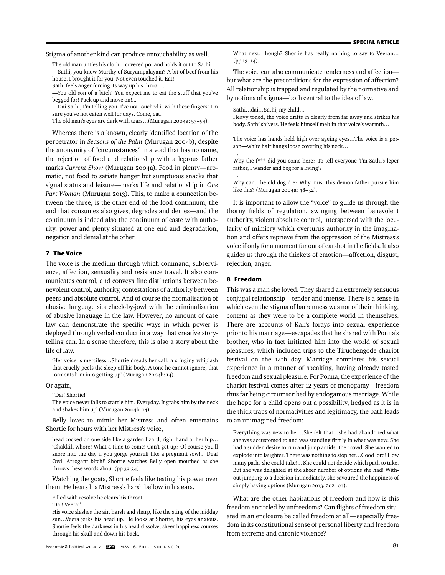Stigma of another kind can produce untouchability as well.

The old man unties his cloth—covered pot and holds it out to Sathi. —Sathi, you know Murthy of Suryampalayam? A bit of beef from his house. I brought it for you. Not even touched it. Eat!

Sathi feels anger forcing its way up his throat…

—You old son of a bitch! You expect me to eat the stuff that you've begged for! Pack up and move on!...

-Dai Sathi, I'm telling you. I've not touched it with these fingers! I'm sure you've not eaten well for days. Come, eat.

The old man's eyes are dark with tears…(Murugan 2004a: 53–54).

Whereas there is a known, clearly identified location of the perpetrator in *Seasons of the Palm* (Murugan 2004b), despite the anonymity of "circumstances" in a void that has no name, the rejection of food and relationship with a leprous father marks *Current Show* (Murugan 2004a). Food in plenty—aromatic, not food to satiate hunger but sumptuous snacks that signal status and leisure—marks life and relationship in *One Part Woman* (Murugan 2013). This, to make a connection between the three, is the other end of the food continuum, the end that consumes also gives, degrades and denies—and the continuum is indeed also the continuum of caste with authority, power and plenty situated at one end and degradation, negation and denial at the other.

## **7 The Voice**

The voice is the medium through which command, subservience, affection, sensuality and resistance travel. It also communicates control, and conveys fine distinctions between benevolent control, authority, contestations of authority between peers and absolute control. And of course the normalisation of abusive language sits cheek-by-jowl with the criminalisation of abusive language in the law. However, no amount of case law can demonstrate the specific ways in which power is deployed through verbal conduct in a way that creative storytelling can. In a sense therefore, this is also a story about the life of law.

'Her voice is merciless…Shortie dreads her call, a stinging whiplash that cruelly peels the sleep off his body. A tone he cannot ignore, that torments him into getting up' (Murugan 2004b: 14).

Or again,

' 'Dai! Shortie!'

The voice never fails to startle him. Everyday. It grabs him by the neck and shakes him up' (Murugan 2004b: 14).

Belly loves to mimic her Mistress and often entertains Shortie for hours with her Mistress's voice,

head cocked on one side like a garden lizard, right hand at her hip… 'Chakkili whore! What a time to come! Can't get up? Of course you'll snore into the day if you gorge yourself like a pregnant sow!... Deaf Owl! Arrogant bitch!' Shortie watches Belly open mouthed as she throws these words about (pp 33-34).

Watching the goats, Shortie feels like testing his power over them. He hears his Mistress's harsh bellow in his ears.

Filled with resolve he clears his throat…

'Dai! Veera!'

His voice slashes the air, harsh and sharp, like the sting of the midday sun…Veera jerks his head up. He looks at Shortie, his eyes anxious. Shortie feels the darkness in his head dissolve, sheer happiness courses through his skull and down his back.

What next, though? Shortie has really nothing to say to Veeran… (pp 13–14).

The voice can also communicate tenderness and affection but what are the preconditions for the expression of affection? All relationship is trapped and regulated by the normative and by notions of stigma—both central to the idea of law.

Sathi…dai…Sathi, my child…

Heavy toned, the voice drifts in clearly from far away and strikes his body. Sathi shivers. He feels himself melt in that voice's warmth… …

The voice has hands held high over ageing eyes…The voice is a person—white hair hangs loose covering his neck…

Why the f\*\*\* did you come here? To tell everyone 'I'm Sathi's leper father, I wander and beg for a living'?

Why cant the old dog die? Why must this demon father pursue him like this? (Murugan 2004a: 48–52).

It is important to allow the "voice" to guide us through the thorny fields of regulation, swinging between benevolent authority, violent absolute control, interspersed with the jocularity of mimicry which overturns authority in the imagination and offers reprieve from the oppression of the Mistress's voice if only for a moment far out of earshot in the fields. It also guides us through the thickets of emotion—affection, disgust, rejection, anger.

#### **8 Freedom**

…

…

This was a man she loved. They shared an extremely sensuous conjugal relationship—tender and intense. There is a sense in which even the stigma of barrenness was not of their thinking, content as they were to be a complete world in themselves. There are accounts of Kali's forays into sexual experience prior to his marriage—escapades that he shared with Ponna's brother, who in fact initiated him into the world of sexual pleasures, which included trips to the Tiruchengode chariot festival on the 14th day. Marriage completes his sexual experience in a manner of speaking, having already tasted freedom and sexual pleasure. For Ponna, the experience of the chariot festival comes after 12 years of monogamy—freedom thus far being circumscribed by endogamous marriage. While the hope for a child opens out a possibility, hedged as it is in the thick traps of normativities and legitimacy, the path leads to an unimagined freedom:

Everything was new to her…She felt that…she had abandoned what she was accustomed to and was standing firmly in what was new. She had a sudden desire to run and jump amidst the crowd. She wanted to explode into laughter. There was nothing to stop her…Good lord! How many paths she could take!... She could not decide which path to take. But she was delighted at the sheer number of options she had! Without jumping to a decision immediately, she savoured the happiness of simply having options (Murugan 2013: 202–03).

What are the other habitations of freedom and how is this freedom encircled by unfreedoms? Can flights of freedom situated in an enclosure be called freedom at all—especially freedom in its constitutional sense of personal liberty and freedom from extreme and chronic violence?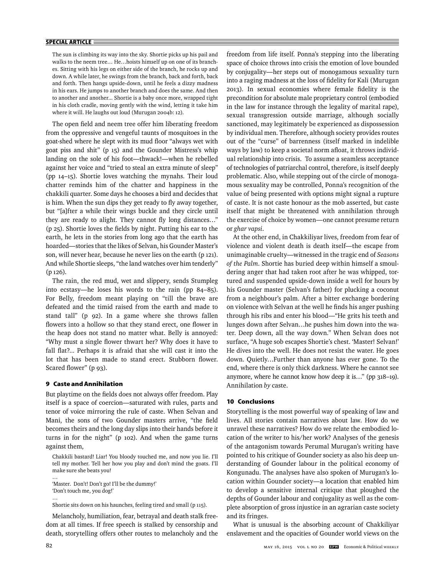The sun is climbing its way into the sky. Shortie picks up his pail and walks to the neem tree… He…hoists himself up on one of its branches. Sitting with his legs on either side of the branch, he rocks up and down. A while later, he swings from the branch, back and forth, back and forth. Then hangs upside-down, until he feels a dizzy madness in his ears. He jumps to another branch and does the same. And then to another and another... Shortie is a baby once more, wrapped tight in his cloth cradle, moving gently with the wind, letting it take him where it will. He laughs out loud (Murugan 2004b: 12).

The open field and neem tree offer him liberating freedom from the oppressive and vengeful taunts of mosquitoes in the goat-shed where he slept with its mud floor "always wet with goat piss and shit" (p 15) and the Gounder Mistress's whip landing on the sole of his foot—thwack!—when he rebelled against her voice and "tried to steal an extra minute of sleep" (pp 14–15). Shortie loves watching the mynahs. Their loud chatter reminds him of the chatter and happiness in the chakkili quarter. Some days he chooses a bird and decides that is him. When the sun dips they get ready to fly away together, but "[a]fter a while their wings buckle and they circle until they are ready to alight. They cannot fly long distances..." ( $p$  25). Shortie loves the fields by night. Putting his ear to the earth, he lets in the stories from long ago that the earth has hoarded—stories that the likes of Selvan, his Gounder Master's son, will never hear, because he never lies on the earth (p 121). And while Shortie sleeps, "the land watches over him tenderly" (p 126).

The rain, the red mud, wet and slippery, sends Stumpleg into ecstasy—he loses his words to the rain (pp 84–85). For Belly, freedom meant playing on "till the brave are defeated and the timid raised from the earth and made to stand tall" (p 92). In a game where she throws fallen flowers into a hollow so that they stand erect, one flower in the heap does not stand no matter what. Belly is annoyed: "Why must a single flower thwart her? Why does it have to fall flat?... Perhaps it is afraid that she will cast it into the lot that has been made to stand erect. Stubborn flower. Scared flower" (p 93).

# **9 Caste and Annihilation**

But playtime on the fields does not always offer freedom. Play itself is a space of coercion—saturated with rules, parts and tenor of voice mirroring the rule of caste. When Selvan and Mani, the sons of two Gounder masters arrive, "the field becomes theirs and the long day slips into their hands before it turns in for the night" (p 102). And when the game turns against them,

Chakkili bastard! Liar! You bloody touched me, and now you lie. I'll tell my mother. Tell her how you play and don't mind the goats. I'll make sure she beats you!

'Master. Don't! Don't go! I'll be the dummy!' 'Don't touch me, you dog!'

Shortie sits down on his haunches, feeling tired and small (p 115).

Melancholy, humiliation, fear, betrayal and death stalk freedom at all times. If free speech is stalked by censorship and death, storytelling offers other routes to melancholy and the freedom from life itself. Ponna's stepping into the liberating space of choice throws into crisis the emotion of love bounded by conjugality—her steps out of monogamous sexuality turn into a raging madness at the loss of fidelity for Kali (Murugan 2013). In sexual economies where female fidelity is the precondition for absolute male proprietary control (embodied in the law for instance through the legality of marital rape), sexual transgression outside marriage, although socially sanctioned, may legitimately be experienced as dispossession by individual men. Therefore, although society provides routes out of the "curse" of barrenness (itself marked in indelible ways by law) to keep a societal norm afloat, it throws individual relationship into crisis. To assume a seamless acceptance of technologies of patriarchal control, therefore, is itself deeply problematic. Also, while stepping out of the circle of monogamous sexuality may be controlled, Ponna's recognition of the value of being presented with options might signal a rupture of caste. It is not caste honour as the mob asserted, but caste itself that might be threatened with annihilation through the exercise of choice by women—one cannot presume return or *ghar vapsi*.

At the other end, in Chakkiliyar lives, freedom from fear of violence and violent death is death itself—the escape from unimaginable cruelty—witnessed in the tragic end of *Seasons of the Palm*. Shortie has buried deep within himself a smouldering anger that had taken root after he was whipped, tortured and suspended upside-down inside a well for hours by his Gounder master (Selvan's father) for plucking a coconut from a neighbour's palm. After a bitter exchange bordering on violence with Selvan at the well he finds his anger pushing through his ribs and enter his blood—"He grits his teeth and lunges down after Selvan…he pushes him down into the water. Deep down, all the way down." When Selvan does not surface, "A huge sob escapes Shortie's chest. 'Master! Selvan!' He dives into the well. He does not resist the water. He goes down. Quietly…Further than anyone has ever gone. To the end, where there is only thick darkness. Where he cannot see anymore, where he cannot know how deep it is…" (pp 318–19). Annihilation *by* caste.

## **10 Conclusions**

Storytelling is the most powerful way of speaking of law and lives. All stories contain narratives about law. How do we unravel these narratives? How do we relate the embodied location of the writer to his/her work? Analyses of the genesis of the antagonism towards Perumal Murugan's writing have pointed to his critique of Gounder society as also his deep understanding of Gounder labour in the political economy of Kongunadu. The analyses have also spoken of Murugan's location within Gounder society—a location that enabled him to develop a sensitive internal critique that ploughed the depths of Gounder labour and conjugality as well as the complete absorption of gross injustice in an agrarian caste society and its fringes.

What is unusual is the absorbing account of Chakkiliyar enslavement and the opacities of Gounder world views on the

…

…